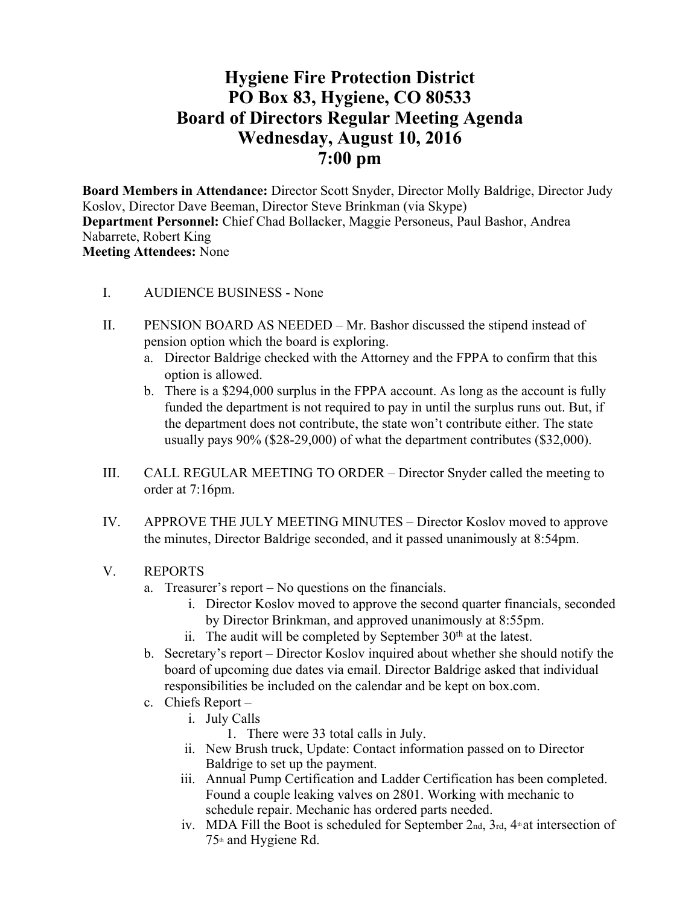# **Hygiene Fire Protection District PO Box 83, Hygiene, CO 80533 Board of Directors Regular Meeting Agenda Wednesday, August 10, 2016 7:00 pm**

**Board Members in Attendance:** Director Scott Snyder, Director Molly Baldrige, Director Judy Koslov, Director Dave Beeman, Director Steve Brinkman (via Skype) **Department Personnel:** Chief Chad Bollacker, Maggie Personeus, Paul Bashor, Andrea Nabarrete, Robert King **Meeting Attendees:** None

- I. AUDIENCE BUSINESS None
- II. PENSION BOARD AS NEEDED Mr. Bashor discussed the stipend instead of pension option which the board is exploring.
	- a. Director Baldrige checked with the Attorney and the FPPA to confirm that this option is allowed.
	- b. There is a \$294,000 surplus in the FPPA account. As long as the account is fully funded the department is not required to pay in until the surplus runs out. But, if the department does not contribute, the state won't contribute either. The state usually pays 90% (\$28-29,000) of what the department contributes (\$32,000).
- III. CALL REGULAR MEETING TO ORDER Director Snyder called the meeting to order at 7:16pm.
- IV. APPROVE THE JULY MEETING MINUTES Director Koslov moved to approve the minutes, Director Baldrige seconded, and it passed unanimously at 8:54pm.
- V. REPORTS
	- a. Treasurer's report No questions on the financials.
		- i. Director Koslov moved to approve the second quarter financials, seconded by Director Brinkman, and approved unanimously at 8:55pm.
		- ii. The audit will be completed by September  $30<sup>th</sup>$  at the latest.
	- b. Secretary's report Director Koslov inquired about whether she should notify the board of upcoming due dates via email. Director Baldrige asked that individual responsibilities be included on the calendar and be kept on box.com.
	- c. Chiefs Report
		- i. July Calls
			- 1. There were 33 total calls in July.
		- ii. New Brush truck, Update: Contact information passed on to Director Baldrige to set up the payment.
		- iii. Annual Pump Certification and Ladder Certification has been completed. Found a couple leaking valves on 2801. Working with mechanic to schedule repair. Mechanic has ordered parts needed.
		- iv. MDA Fill the Boot is scheduled for September  $2<sub>nd</sub>$ ,  $3<sub>rd</sub>$ ,  $4<sup>th</sup>$  at intersection of  $75<sup>th</sup>$  and Hygiene Rd.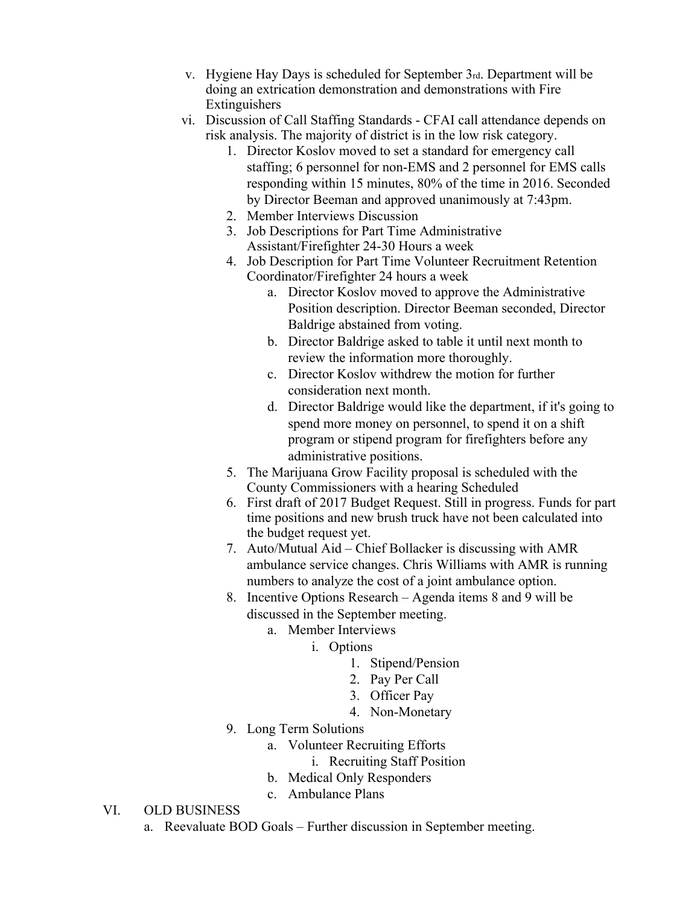- v. Hygiene Hay Days is scheduled for September 3rd. Department will be doing an extrication demonstration and demonstrations with Fire Extinguishers
- vi. Discussion of Call Staffing Standards CFAI call attendance depends on risk analysis. The majority of district is in the low risk category.
	- 1. Director Koslov moved to set a standard for emergency call staffing; 6 personnel for non-EMS and 2 personnel for EMS calls responding within 15 minutes, 80% of the time in 2016. Seconded by Director Beeman and approved unanimously at 7:43pm.
	- 2. Member Interviews Discussion
	- 3. Job Descriptions for Part Time Administrative Assistant/Firefighter 24-30 Hours a week
	- 4. Job Description for Part Time Volunteer Recruitment Retention Coordinator/Firefighter 24 hours a week
		- a. Director Koslov moved to approve the Administrative Position description. Director Beeman seconded, Director Baldrige abstained from voting.
		- b. Director Baldrige asked to table it until next month to review the information more thoroughly.
		- c. Director Koslov withdrew the motion for further consideration next month.
		- d. Director Baldrige would like the department, if it's going to spend more money on personnel, to spend it on a shift program or stipend program for firefighters before any administrative positions.
	- 5. The Marijuana Grow Facility proposal is scheduled with the County Commissioners with a hearing Scheduled
	- 6. First draft of 2017 Budget Request. Still in progress. Funds for part time positions and new brush truck have not been calculated into the budget request yet.
	- 7. Auto/Mutual Aid Chief Bollacker is discussing with AMR ambulance service changes. Chris Williams with AMR is running numbers to analyze the cost of a joint ambulance option.
	- 8. Incentive Options Research Agenda items 8 and 9 will be discussed in the September meeting.
		- a. Member Interviews
			- i. Options
				- 1. Stipend/Pension
				- 2. Pay Per Call
				- 3. Officer Pay
				- 4. Non-Monetary
	- 9. Long Term Solutions
		- a. Volunteer Recruiting Efforts
			- i. Recruiting Staff Position
		- b. Medical Only Responders
		- c. Ambulance Plans
- VI. OLD BUSINESS
	- a. Reevaluate BOD Goals Further discussion in September meeting.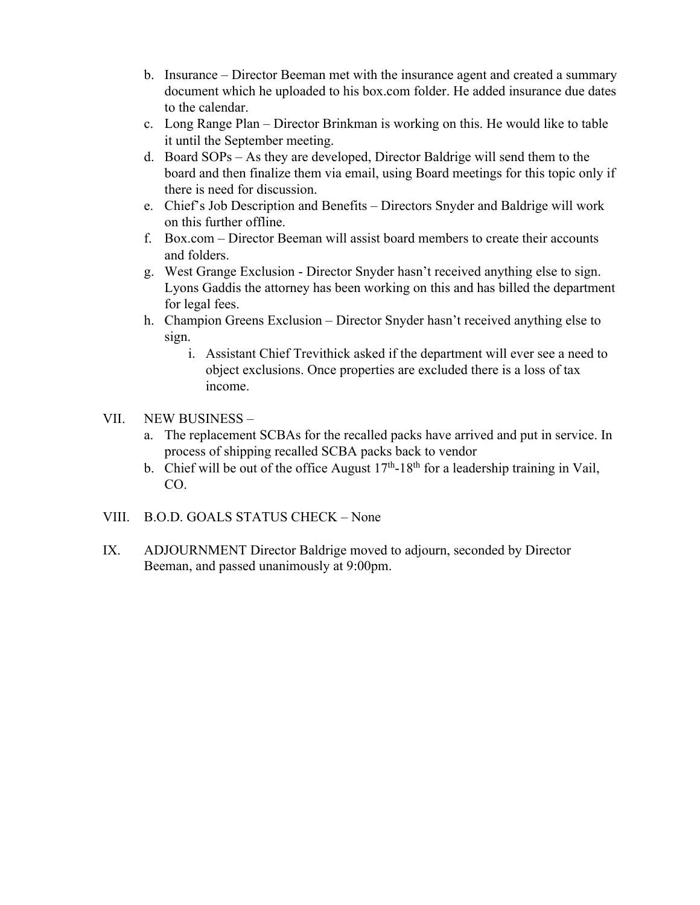- b. Insurance Director Beeman met with the insurance agent and created a summary document which he uploaded to his box.com folder. He added insurance due dates to the calendar.
- c. Long Range Plan Director Brinkman is working on this. He would like to table it until the September meeting.
- d. Board SOPs As they are developed, Director Baldrige will send them to the board and then finalize them via email, using Board meetings for this topic only if there is need for discussion.
- e. Chief's Job Description and Benefits Directors Snyder and Baldrige will work on this further offline.
- f. Box.com Director Beeman will assist board members to create their accounts and folders.
- g. West Grange Exclusion Director Snyder hasn't received anything else to sign. Lyons Gaddis the attorney has been working on this and has billed the department for legal fees.
- h. Champion Greens Exclusion Director Snyder hasn't received anything else to sign.
	- i. Assistant Chief Trevithick asked if the department will ever see a need to object exclusions. Once properties are excluded there is a loss of tax income.

# VII. NEW BUSINESS –

- a. The replacement SCBAs for the recalled packs have arrived and put in service. In process of shipping recalled SCBA packs back to vendor
- b. Chief will be out of the office August  $17<sup>th</sup>$ -18<sup>th</sup> for a leadership training in Vail, CO.
- VIII. B.O.D. GOALS STATUS CHECK None
- IX. ADJOURNMENT Director Baldrige moved to adjourn, seconded by Director Beeman, and passed unanimously at 9:00pm.